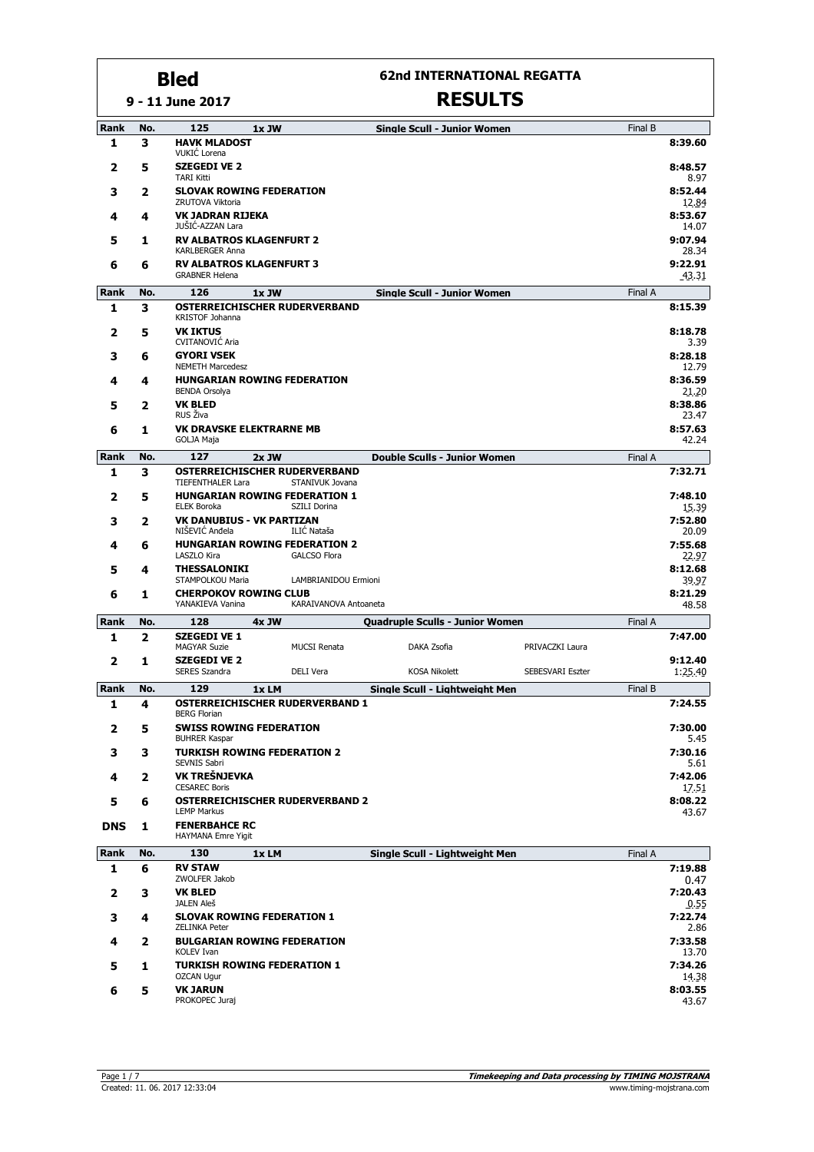**9 - 11 June 2017**

#### **62nd INTERNATIONAL REGATTA**

| Rank       | No.            | 125                                                           | 1x JW                              |                       | <b>Single Scull - Junior Women</b>     |                  | Final B |                    |  |  |
|------------|----------------|---------------------------------------------------------------|------------------------------------|-----------------------|----------------------------------------|------------------|---------|--------------------|--|--|
| 1          | 3              | <b>HAVK MLADOST</b><br>VUKIĆ Lorena                           |                                    |                       |                                        |                  |         | 8:39.60            |  |  |
| 2          | 5              | <b>SZEGEDI VE 2</b><br><b>TARI Kitti</b>                      |                                    |                       |                                        |                  |         | 8:48.57<br>8.97    |  |  |
| 3          | 2              | <b>SLOVAK ROWING FEDERATION</b><br>ZRUTOVA Viktoria           |                                    |                       |                                        |                  |         | 8:52.44<br>12.84   |  |  |
| 4          | 4              |                                                               | <b>VK JADRAN RIJEKA</b><br>8:53.67 |                       |                                        |                  |         |                    |  |  |
| 5          | 1              | JUŠIĆ-AZZAN Lara<br><b>RV ALBATROS KLAGENFURT 2</b>           |                                    |                       |                                        |                  |         | 14.07<br>9:07.94   |  |  |
|            |                | KARLBERGER Anna                                               |                                    |                       |                                        |                  |         | 28.34              |  |  |
| 6          | 6              | <b>RV ALBATROS KLAGENFURT 3</b><br><b>GRABNER Helena</b>      |                                    |                       |                                        |                  |         | 9:22.91<br>43.31   |  |  |
| Rank       | No.            | 126                                                           | 1x JW                              |                       | <b>Single Scull - Junior Women</b>     |                  | Final A |                    |  |  |
| 1          | 3              | <b>OSTERREICHISCHER RUDERVERBAND</b><br>KRISTOF Johanna       |                                    |                       |                                        |                  |         | 8:15.39            |  |  |
| 2          | 5              | <b>VK IKTUS</b>                                               |                                    |                       |                                        |                  |         | 8:18.78            |  |  |
| 3          | 6              | <b>CVITANOVIC Aria</b><br><b>GYORI VSEK</b>                   |                                    |                       |                                        |                  |         | 3.39<br>8:28.18    |  |  |
| 4          | 4              | <b>NEMETH Marcedesz</b><br><b>HUNGARIAN ROWING FEDERATION</b> |                                    |                       |                                        |                  |         | 12.79<br>8:36.59   |  |  |
|            |                | <b>BENDA Orsolya</b>                                          |                                    |                       |                                        |                  |         | 21.20              |  |  |
| 5          | 2              | <b>VK BLED</b><br>RUS Živa                                    |                                    |                       |                                        |                  |         | 8:38.86<br>23.47   |  |  |
| 6          | 1              | <b>VK DRAVSKE ELEKTRARNE MB</b><br><b>GOLJA Maja</b>          |                                    |                       |                                        |                  |         | 8:57.63<br>42.24   |  |  |
| Rank       | No.            | 127                                                           | $2x$ JW                            |                       | <b>Double Sculls - Junior Women</b>    |                  | Final A |                    |  |  |
| 1          | 3              | OSTERREICHISCHER RUDERVERBAND<br>TIEFENTHALER Lara            |                                    | STANIVUK Jovana       |                                        |                  |         | 7:32.71            |  |  |
| 2          | 5              | <b>HUNGARIAN ROWING FEDERATION 1</b>                          |                                    |                       |                                        |                  |         | 7:48.10            |  |  |
| 3          | 2              | <b>ELEK Boroka</b><br><b>VK DANUBIUS - VK PARTIZAN</b>        |                                    | SZILI Dorina          |                                        |                  |         | 15.39<br>7:52.80   |  |  |
|            |                | NIŠEVIĆ Anđela                                                |                                    | ILIĆ Nataša           |                                        |                  |         | 20.09              |  |  |
| 4          | 6              | <b>HUNGARIAN ROWING FEDERATION 2</b><br>LASZLO Kira           |                                    | <b>GALCSO Flora</b>   |                                        |                  |         | 7:55.68<br>22.97   |  |  |
| 5          | 4              | <b>THESSALONIKI</b><br>STAMPOLKOU Maria                       |                                    | LAMBRIANIDOU Ermioni  |                                        |                  |         | 8:12.68<br>39.97   |  |  |
| 6          | 1              | <b>CHERPOKOV ROWING CLUB</b>                                  |                                    |                       |                                        |                  |         | 8:21.29            |  |  |
| Rank       | No.            | YANAKIEVA Vanina<br>128                                       | $4x$ JW                            | KARAIVANOVA Antoaneta | <b>Quadruple Sculls - Junior Women</b> |                  | Final A | 48.58              |  |  |
| 1          | $\overline{2}$ | <b>SZEGEDI VE 1</b>                                           |                                    |                       |                                        |                  |         | 7:47.00            |  |  |
|            |                | <b>MAGYAR Suzie</b>                                           |                                    | <b>MUCSI Renata</b>   | DAKA Zsofia                            | PRIVACZKI Laura  |         |                    |  |  |
| 2          | 1              | <b>SZEGEDI VE 2</b><br><b>SERES Szandra</b>                   |                                    | DELI Vera             | <b>KOSA Nikolett</b>                   | SEBESVARI Eszter |         | 9:12.40<br>1:25.40 |  |  |
| Rank       | No.            | 129                                                           | 1xLM                               |                       | Single Scull - Lightweight Men         |                  | Final B |                    |  |  |
| 1          | 4              | <b>OSTERREICHISCHER RUDERVERBAND 1</b><br><b>BERG Florian</b> |                                    |                       |                                        |                  |         | 7:24.55            |  |  |
| 2          | 5              | <b>SWISS ROWING FEDERATION</b>                                |                                    |                       |                                        |                  |         | 7:30.00            |  |  |
| 3          | 3              | <b>BUHRER Kaspar</b><br><b>TURKISH ROWING FEDERATION 2</b>    |                                    |                       |                                        |                  |         | 5.45<br>7:30.16    |  |  |
|            |                | SEVNIS Sabri<br>VK TREŠNJEVKA                                 |                                    |                       |                                        |                  |         | 5.61<br>7:42.06    |  |  |
| 4          | 2              | <b>CESAREC Boris</b>                                          |                                    |                       |                                        |                  |         | 17.51              |  |  |
| 5          | 6              | <b>OSTERREICHISCHER RUDERVERBAND 2</b><br><b>LEMP Markus</b>  |                                    |                       |                                        |                  |         | 8:08.22<br>43.67   |  |  |
| <b>DNS</b> | 1              | <b>FENERBAHCE RC</b><br><b>HAYMANA Emre Yigit</b>             |                                    |                       |                                        |                  |         |                    |  |  |
| Rank       | No.            | 130                                                           | 1x LM                              |                       | Single Scull - Lightweight Men         |                  | Final A |                    |  |  |
| 1          | 6              | <b>RV STAW</b><br>ZWOLFER Jakob                               |                                    |                       |                                        |                  |         | 7:19.88<br>0.47    |  |  |
| 2          | 3              | <b>VK BLED</b><br>JALEN Aleš                                  |                                    |                       |                                        |                  |         | 7:20.43<br>0.55    |  |  |
| з          | 4              | <b>SLOVAK ROWING FEDERATION 1</b>                             |                                    |                       |                                        |                  |         | 7:22.74            |  |  |
| 4          | 2              | <b>ZELINKA Peter</b><br><b>BULGARIAN ROWING FEDERATION</b>    |                                    |                       |                                        |                  |         | 2.86<br>7:33.58    |  |  |
|            |                | KOLEV Ivan<br><b>TURKISH ROWING FEDERATION 1</b>              |                                    |                       |                                        |                  |         | 13.70<br>7:34.26   |  |  |
| 5          | 1              | <b>OZCAN Ugur</b>                                             |                                    |                       |                                        |                  |         | 14.38              |  |  |
| 6          | 5              | <b>VK JARUN</b><br>PROKOPEC Juraj                             |                                    |                       |                                        |                  |         | 8:03.55<br>43.67   |  |  |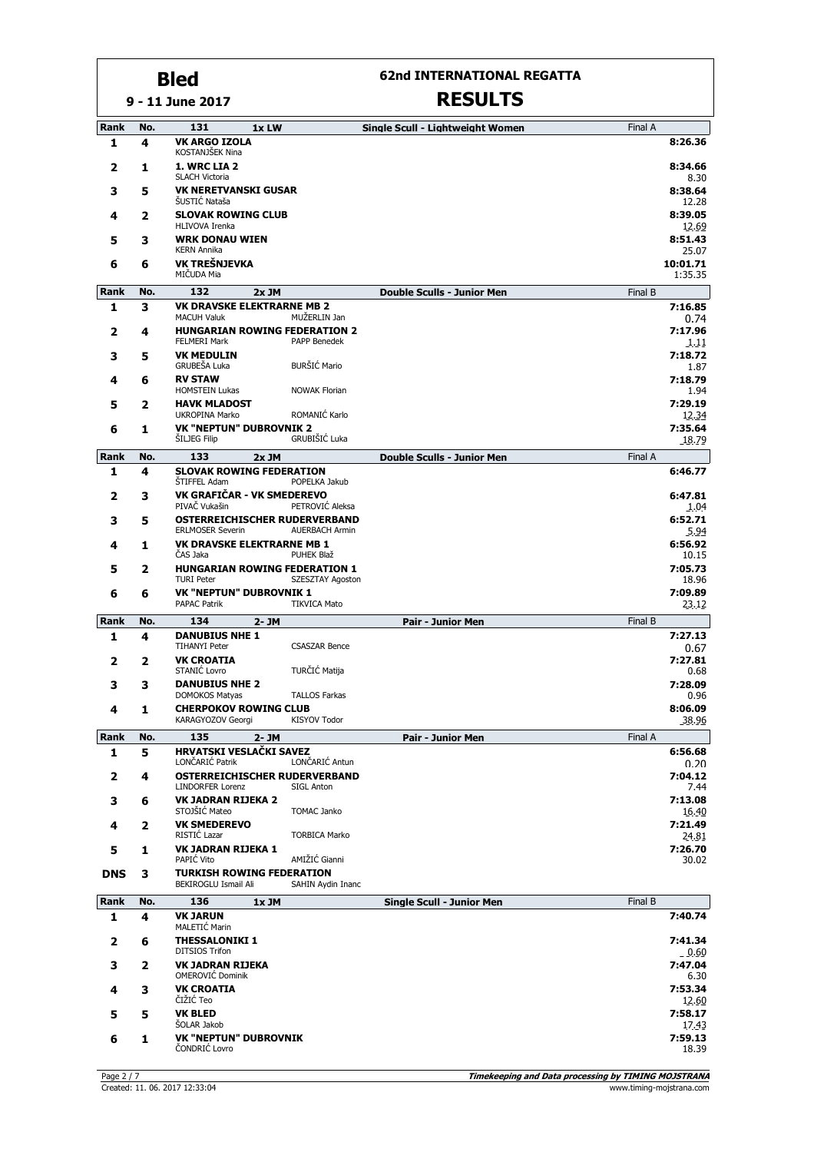## **62nd INTERNATIONAL REGATTA**

| Rank        | No. | 131<br>1x LW                                                                                             | Single Scull - Lightweight Women  | Final A |                         |
|-------------|-----|----------------------------------------------------------------------------------------------------------|-----------------------------------|---------|-------------------------|
| 1           | 4   | <b>VK ARGO IZOLA</b><br>KOSTANJŠEK Nina                                                                  |                                   |         | 8:26.36                 |
| 2           | 1   | 1. WRC LIA 2<br><b>SLACH Victoria</b>                                                                    |                                   |         | 8:34.66<br>8.30         |
| 3           | 5   | <b>VK NERETVANSKI GUSAR</b><br>ŠUSTIĆ Nataša                                                             |                                   |         | 8:38.64<br>12.28        |
| 4           | 2   | <b>SLOVAK ROWING CLUB</b><br><b>HLIVOVA Irenka</b>                                                       |                                   |         | 8:39.05<br>12.69        |
| 5           | 3   | <b>WRK DONAU WIEN</b><br><b>KERN Annika</b>                                                              |                                   |         | 8:51.43<br>25.07        |
| 6           | 6   | VK TREŠNJEVKA<br>MIČUDA Mia                                                                              |                                   |         | 10:01.71<br>1:35.35     |
| <b>Rank</b> | No. | 132<br>2x JM                                                                                             | <b>Double Sculls - Junior Men</b> | Final B |                         |
| 1           | 3   | <b>VK DRAVSKE ELEKTRARNE MB 2</b><br>MUŽERLIN Jan                                                        |                                   |         | 7:16.85                 |
| 2           | 4   | <b>MACUH Valuk</b><br><b>HUNGARIAN ROWING FEDERATION 2</b><br><b>PAPP Benedek</b><br><b>FELMERI Mark</b> |                                   |         | 0.74<br>7:17.96<br>1.11 |
| 3           | 5   | <b>VK MEDULIN</b><br><b>BURŠIĆ Mario</b><br>GRUBEŠA Luka                                                 |                                   |         | 7:18.72<br>1.87         |
| 4           | 6   | <b>RV STAW</b><br><b>HOMSTEIN Lukas</b><br><b>NOWAK Florian</b>                                          |                                   |         | 7:18.79<br>1.94         |
| 5           | 2   | <b>HAVK MLADOST</b><br>ROMANIĆ Karlo<br>UKROPINA Marko                                                   |                                   |         | 7:29.19<br>12.34        |
| 6           | 1   | <b>VK "NEPTUN" DUBROVNIK 2</b><br>GRUBIŠIĆ Luka<br><b>SILJEG Filip</b>                                   |                                   |         | 7:35.64<br>18.79        |
| Rank        | No. | 133<br>2x JM                                                                                             | <b>Double Sculls - Junior Men</b> | Final A |                         |
| 1           | 4   | <b>SLOVAK ROWING FEDERATION</b>                                                                          |                                   |         | 6:46.77                 |
| 2           | 3   | <b>STIFFEL Adam</b><br>POPELKA Jakub<br>VK GRAFIČAR - VK SMEDEREVO<br>PIVAČ Vukašin<br>PETROVIĆ Aleksa   |                                   |         | 6:47.81<br>1.04         |
| 3           | 5   | <b>OSTERREICHISCHER RUDERVERBAND</b><br><b>ERLMOSER Severin</b><br><b>AUERBACH Armin</b>                 |                                   |         | 6:52.71<br>5.94         |
| 4           | 1   | <b>VK DRAVSKE ELEKTRARNE MB 1</b><br>ČAS Jaka<br>PUHEK Blaž                                              |                                   |         | 6:56.92<br>10.15        |
| 5           | 2   | <b>HUNGARIAN ROWING FEDERATION 1</b><br><b>TURI Peter</b><br>SZESZTAY Agoston                            |                                   |         | 7:05.73<br>18.96        |
| 6           | 6   | <b>VK "NEPTUN" DUBROVNIK 1</b><br><b>PAPAC Patrik</b><br><b>TIKVICA Mato</b>                             |                                   |         | 7:09.89<br>23.12        |
| <b>Rank</b> | No. | 134<br>$2 - JM$                                                                                          | <b>Pair - Junior Men</b>          | Final B |                         |
| 1           | 4   | <b>DANUBIUS NHE 1</b><br><b>TIHANYI Peter</b><br><b>CSASZAR Bence</b>                                    |                                   |         | 7:27.13<br>0.67         |
| 2           | 2   | <b>VK CROATIA</b><br>TURČIĆ Matija<br>STANIĆ Lovro                                                       |                                   |         | 7:27.81<br>0.68         |
| 3           | 3   | <b>DANUBIUS NHE 2</b><br><b>DOMOKOS Matyas</b><br><b>TALLOS Farkas</b>                                   |                                   |         | 7:28.09<br>0.96         |
| 4           | 1   | <b>CHERPOKOV ROWING CLUB</b><br>KARAGYOZOV Georgi<br><b>KISYOV Todor</b>                                 |                                   |         | 8:06.09<br>38.96        |
| <b>Rank</b> | No. | 135<br>$2 - JM$                                                                                          | <b>Pair - Junior Men</b>          | Final A |                         |
| 1           | 5   | <b>HRVATSKI VESLAČKI SAVEZ</b><br>LONČARIĆ Antun<br>LONČARIĆ Patrik                                      |                                   |         | 6:56.68<br>0.20         |
| 2           | 4   | <b>OSTERREICHISCHER RUDERVERBAND</b><br><b>LINDORFER Lorenz</b><br>SIGL Anton                            |                                   |         | 7:04.12<br>7.44         |
| з           | 6   | <b>VK JADRAN RIJEKA 2</b><br>STOJŠIĆ Mateo<br><b>TOMAC Janko</b>                                         |                                   |         | 7:13.08<br>16.40        |
| 4           | 2   | <b>VK SMEDEREVO</b><br>RISTIĆ Lazar<br><b>TORBICA Marko</b>                                              |                                   |         | 7:21.49<br>24.81        |
| 5           | 1   | <b>VK JADRAN RIJEKA 1</b><br>AMIŽIĆ Gianni<br>PAPIĆ Vito                                                 |                                   |         | 7:26.70<br>30.02        |
| <b>DNS</b>  | 3   | <b>TURKISH ROWING FEDERATION</b><br>BEKIROGLU Ismail Ali<br>SAHIN Aydin Inanc                            |                                   |         |                         |
| Rank        | No. | 136<br>1x JM                                                                                             | <b>Single Scull - Junior Men</b>  | Final B |                         |
| 1           | 4   | <b>VK JARUN</b><br>MALETIĆ Marin                                                                         |                                   |         | 7:40.74                 |
| 2           | 6   | <b>THESSALONIKI 1</b><br><b>DITSIOS Trifon</b>                                                           |                                   |         | 7:41.34<br>0.60         |
| з           | 2   | <b>VK JADRAN RIJEKA</b><br>OMEROVIĆ Dominik                                                              |                                   |         | 7:47.04<br>6.30         |
| 4           | 3   | <b>VK CROATIA</b><br>ČIŽIĆ Teo                                                                           |                                   |         | 7:53.34<br>12.60        |
| 5           | 5   | <b>VK BLED</b><br><b>SOLAR Jakob</b>                                                                     |                                   |         | 7:58.17<br>17.43        |
| 6           | 1   | <b>VK "NEPTUN" DUBROVNIK</b><br>ČONDRIĆ Lovro                                                            |                                   |         | 7:59.13<br>18.39        |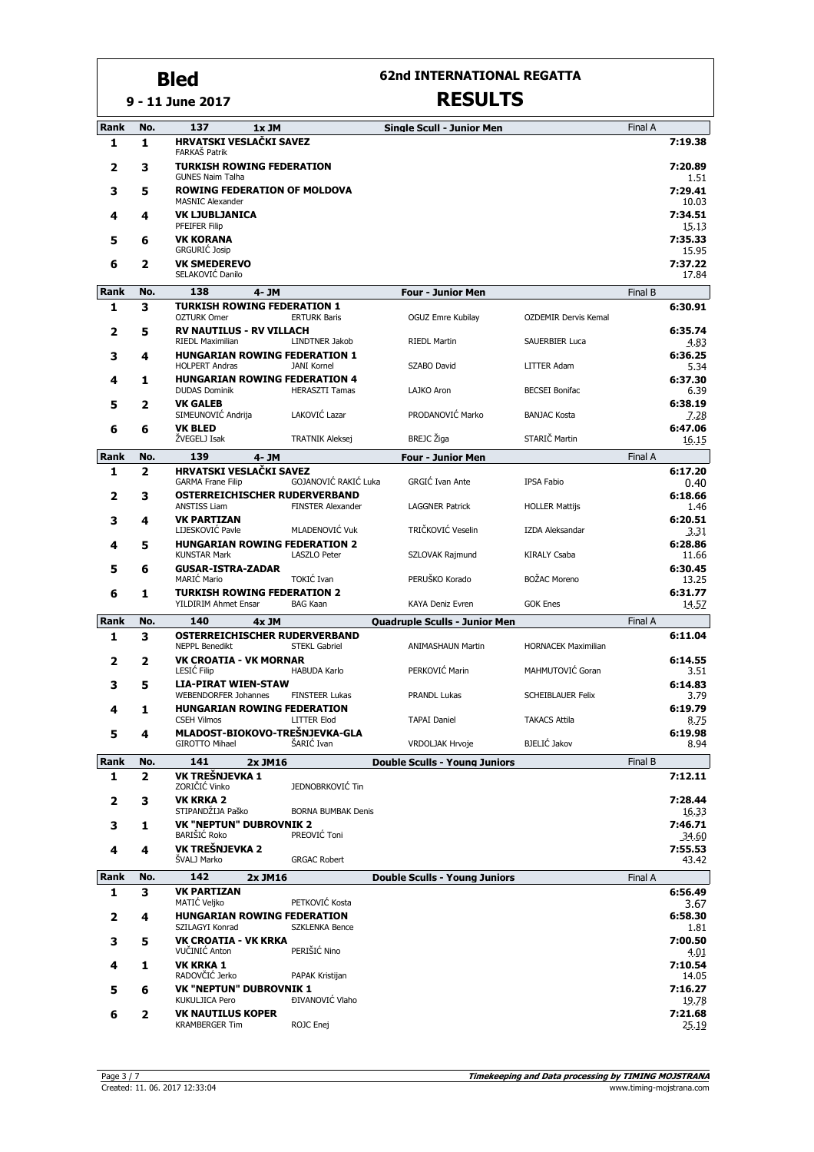**9 - 11 June 2017**

### **62nd INTERNATIONAL REGATTA**

| Rank        | No. | 137<br>1x JM                                                   |                           | <b>Single Scull - Junior Men</b>                               |                             | Final A |                  |
|-------------|-----|----------------------------------------------------------------|---------------------------|----------------------------------------------------------------|-----------------------------|---------|------------------|
| 1           | 1   | HRVATSKI VESLAČKI SAVEZ<br>FARKAŠ Patrik                       |                           |                                                                |                             |         | 7:19.38          |
| 2           | 3   | <b>TURKISH ROWING FEDERATION</b><br><b>GUNES Naim Talha</b>    |                           |                                                                |                             |         | 7:20.89<br>1.51  |
| 3           | 5   | <b>ROWING FEDERATION OF MOLDOVA</b><br><b>MASNIC Alexander</b> |                           |                                                                |                             |         | 7:29.41<br>10.03 |
| 4           | 4   | <b>VK LJUBLJANICA</b><br>PFEIFER Filip                         |                           |                                                                |                             |         | 7:34.51<br>15.13 |
| 5           | 6   | <b>VK KORANA</b><br>GRGURIĆ Josip                              |                           |                                                                |                             |         | 7:35.33<br>15.95 |
| 6           | 2   | <b>VK SMEDEREVO</b><br>SELAKOVIĆ Danilo                        |                           |                                                                |                             |         | 7:37.22<br>17.84 |
| <b>Rank</b> | No. | 138<br>4- JM                                                   |                           | <b>Four - Junior Men</b>                                       |                             | Final B |                  |
| 1           | 3   | <b>TURKISH ROWING FEDERATION 1</b><br><b>OZTURK Omer</b>       | <b>ERTURK Baris</b>       | OGUZ Emre Kubilay                                              | <b>OZDEMIR Dervis Kemal</b> |         | 6:30.91          |
| 2           | 5   | <b>RV NAUTILUS - RV VILLACH</b><br><b>RIEDL Maximilian</b>     | LINDTNER Jakob            | <b>RIEDL Martin</b>                                            | <b>SAUERBIER Luca</b>       |         | 6:35.74<br>4.83  |
| 3           | 4   | <b>HUNGARIAN ROWING FEDERATION 1</b>                           |                           |                                                                |                             |         | 6:36.25          |
|             |     | <b>HOLPERT Andras</b><br><b>HUNGARIAN ROWING FEDERATION 4</b>  | <b>JANI Kornel</b>        | SZABO David                                                    | <b>LITTER Adam</b>          |         | 5.34<br>6:37.30  |
| 4           | 1   | <b>DUDAS Dominik</b>                                           | <b>HERASZTI Tamas</b>     | LAJKO Aron                                                     | <b>BECSEI Bonifac</b>       |         | 6.39             |
| 5           | 2   | <b>VK GALEB</b><br>SIMEUNOVIĆ Andrija                          | LAKOVIĆ Lazar             | PRODANOVIĆ Marko                                               | <b>BANJAC Kosta</b>         |         | 6:38.19<br>7.28  |
| 6           | 6   | <b>VK BLED</b><br>ŽVEGELJ Isak                                 | <b>TRATNIK Aleksej</b>    | <b>BREJC</b> Žiga                                              | STARIČ Martin               |         | 6:47.06<br>16.15 |
| Rank        | No. | 139<br>4- JM                                                   |                           | <b>Four - Junior Men</b>                                       |                             | Final A |                  |
| 1           | 2   | HRVATSKI VESLAČKI SAVEZ<br><b>GARMA Frane Filip</b>            | GOJANOVIĆ RAKIĆ Luka      | <b>GRGIĆ Ivan Ante</b>                                         | IPSA Fabio                  |         | 6:17.20<br>0.40  |
| 2           | 3   | <b>OSTERREICHISCHER RUDERVERBAND</b><br><b>ANSTISS Liam</b>    | <b>FINSTER Alexander</b>  | <b>LAGGNER Patrick</b>                                         | <b>HOLLER Mattijs</b>       |         | 6:18.66<br>1.46  |
| 3           | 4   | <b>VK PARTIZAN</b><br>LIJESKOVIĆ Pavle                         | MLADENOVIĆ Vuk            | TRIČKOVIĆ Veselin                                              | <b>IZDA Aleksandar</b>      |         | 6:20.51<br>3.31  |
| 4           | 5   | <b>HUNGARIAN ROWING FEDERATION 2</b><br><b>KUNSTAR Mark</b>    | <b>LASZLO Peter</b>       | SZLOVAK Rajmund                                                | <b>KIRALY Csaba</b>         |         | 6:28.86<br>11.66 |
| 5           | 6   | <b>GUSAR-ISTRA-ZADAR</b><br><b>MARIĆ Mario</b>                 | TOKIĆ Ivan                | PERUŠKO Korado                                                 | <b>BOŽAC Moreno</b>         |         | 6:30.45<br>13.25 |
| 6           | 1   | <b>TURKISH ROWING FEDERATION 2</b><br>YILDIRIM Ahmet Ensar     | <b>BAG Kaan</b>           | KAYA Deniz Evren                                               | <b>GOK Enes</b>             |         | 6:31.77<br>14.57 |
| Rank        | No. | 140<br>4x JM                                                   |                           | <b>Quadruple Sculls - Junior Men</b>                           |                             | Final A |                  |
| 1           | 3   | OSTERREICHISCHER RUDERVERBAND<br><b>NEPPL Benedikt</b>         | <b>STEKL Gabriel</b>      | <b>ANIMASHAUN Martin</b>                                       | <b>HORNACEK Maximilian</b>  |         | 6:11.04          |
| 2           | 2   | <b>VK CROATIA - VK MORNAR</b><br><b>LESIC Filip</b>            | <b>HABUDA Karlo</b>       | PERKOVIĆ Marin                                                 | MAHMUTOVIĆ Goran            |         | 6:14.55<br>3.51  |
| 3           | 5   | <b>LIA-PIRAT WIEN-STAW</b><br><b>WEBENDORFER Johannes</b>      | <b>FINSTEER Lukas</b>     | <b>PRANDL Lukas</b>                                            | <b>SCHEIBLAUER Felix</b>    |         | 6:14.83<br>3.79  |
| 4           | 1   | <b>HUNGARIAN ROWING FEDERATION</b>                             |                           | <b>TAPAI Daniel</b>                                            |                             |         | 6:19.79          |
| 5           | 4   | <b>CSEH Vilmos</b><br>MLADOST-BIOKOVO-TREŠNJEVKA-GLA           | <b>LITTER Elod</b>        |                                                                | <b>TAKACS Attila</b>        |         | 8.75<br>6:19.98  |
| Rank        | No. | <b>GIROTTO Mihael</b><br>141                                   | ŠARIĆ Ivan                | <b>VRDOLJAK Hrvoie</b><br><b>Double Sculls - Young Juniors</b> | <b>BJELIĆ Jakov</b>         | Final B | 8.94             |
| 1           | 2   | 2x JM16<br>VK TREŠNJEVKA 1                                     |                           |                                                                |                             |         | 7:12.11          |
| 2           | 3   | ZORIČIĆ Vinko<br><b>VK KRKA 2</b>                              | JEDNOBRKOVIĆ Tin          |                                                                |                             |         | 7:28.44          |
| 3           | 1   | STIPANDŽIJA Paško<br><b>VK "NEPTUN" DUBROVNIK 2</b>            | <b>BORNA BUMBAK Denis</b> |                                                                |                             |         | 16.33<br>7:46.71 |
| 4           | 4   | <b>BARIŠIĆ Roko</b><br>VK TREŠNJEVKA 2                         | PREOVIĆ Toni              |                                                                |                             |         | 34.60<br>7:55.53 |
| Rank        | No. | ŠVALJ Marko<br>142                                             | <b>GRGAC Robert</b>       |                                                                |                             |         | 43.42            |
| 1           | 3   | 2x JM16<br><b>VK PARTIZAN</b>                                  |                           | <b>Double Sculls - Young Juniors</b>                           |                             | Final A | 6:56.49          |
| 2           | 4   | MATIĆ Veljko<br><b>HUNGARIAN ROWING FEDERATION</b>             | PETKOVIĆ Kosta            |                                                                |                             |         | 3.67<br>6:58.30  |
|             |     | SZILAGYI Konrad                                                | SZKLENKA Bence            |                                                                |                             |         | 1.81<br>7:00.50  |
| 3           | 5   | VK CROATIA - VK KRKA<br>VUČINIĆ Anton                          | PERIŠIĆ Nino              |                                                                |                             |         | 4.01             |
| 4           | 1   | <b>VK KRKA 1</b><br>RADOVČIĆ Jerko                             | PAPAK Kristijan           |                                                                |                             |         | 7:10.54<br>14.05 |
| 5           | 6   | <b>VK "NEPTUN" DUBROVNIK 1</b><br><b>KUKULJICA Pero</b>        | ĐIVANOVIĆ Vlaho           |                                                                |                             |         | 7:16.27<br>19.78 |
| 6           | 2   | <b>VK NAUTILUS KOPER</b><br><b>KRAMBERGER Tim</b>              | ROJC Enej                 |                                                                |                             |         | 7:21.68<br>25.19 |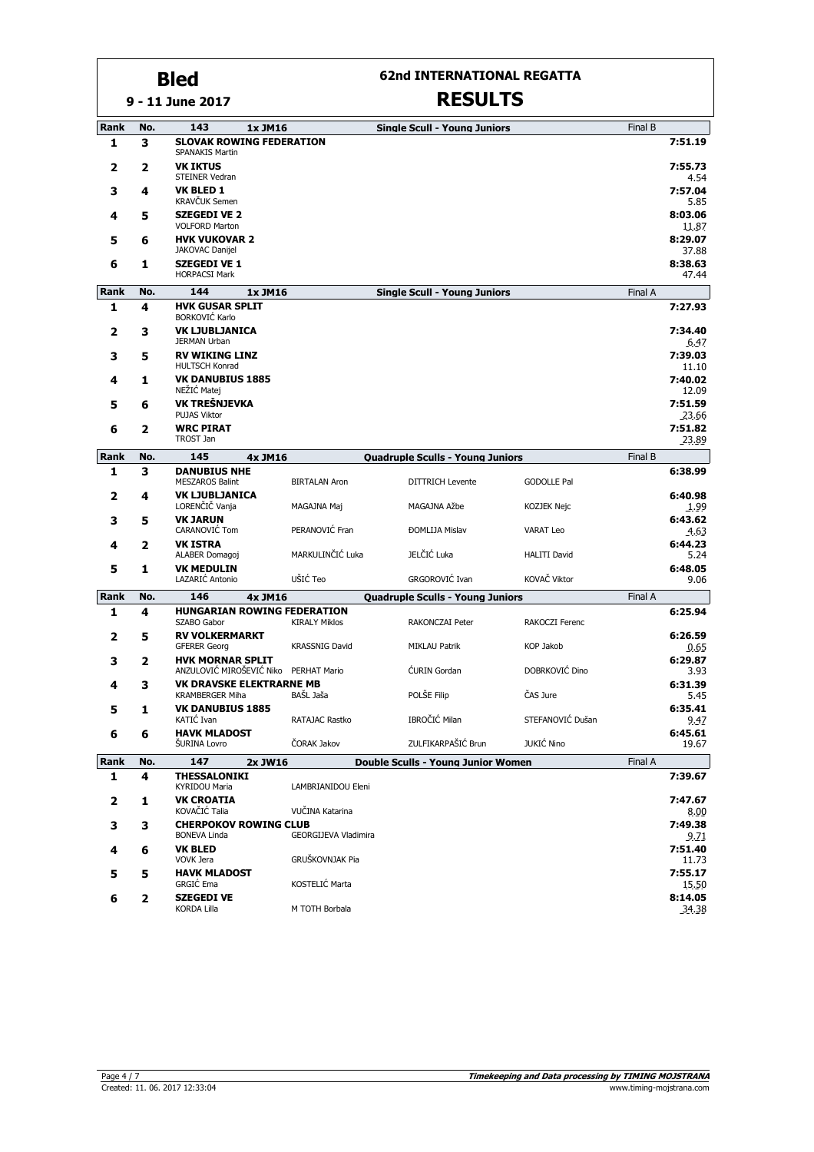#### **9 - 11 June 2017 Bled**

## **62nd INTERNATIONAL REGATTA**

| Rank        | No. | 143<br>1x JM16                                                   |                             | <b>Single Scull - Young Juniors</b>       |                     | Final B |                  |
|-------------|-----|------------------------------------------------------------------|-----------------------------|-------------------------------------------|---------------------|---------|------------------|
| 1           | 3   | <b>SLOVAK ROWING FEDERATION</b><br><b>SPANAKIS Martin</b>        |                             |                                           |                     |         | 7:51.19          |
| 2           | 2   | <b>VK IKTUS</b><br><b>STEINER Vedran</b>                         |                             |                                           |                     |         | 7:55.73<br>4.54  |
| 3           | 4   | <b>VK BLED 1</b><br><b>KRAVČUK Semen</b>                         |                             |                                           |                     |         | 7:57.04<br>5.85  |
| 4           | 5   | <b>SZEGEDI VE 2</b><br><b>VOLFORD Marton</b>                     |                             |                                           |                     |         | 8:03.06<br>11.87 |
| 5           | 6   | <b>HVK VUKOVAR 2</b><br><b>JAKOVAC Danijel</b>                   |                             |                                           |                     |         | 8:29.07<br>37.88 |
| 6           | 1   | <b>SZEGEDI VE 1</b><br><b>HORPACSI Mark</b>                      |                             |                                           |                     |         | 8:38.63<br>47.44 |
| <b>Rank</b> | No. | 144<br>1x JM16                                                   |                             | <b>Single Scull - Young Juniors</b>       |                     | Final A |                  |
| 1           | 4   | <b>HVK GUSAR SPLIT</b><br><b>BORKOVIĆ Karlo</b>                  |                             |                                           |                     |         | 7:27.93          |
| 2           | 3   | <b>VK LJUBLJANICA</b><br><b>JERMAN Urban</b>                     |                             |                                           |                     |         | 7:34.40          |
| 3           | 5   | <b>RV WIKING LINZ</b>                                            |                             |                                           |                     |         | 6.47<br>7:39.03  |
| 4           | 1   | <b>HULTSCH Konrad</b><br><b>VK DANUBIUS 1885</b>                 |                             |                                           |                     |         | 11.10<br>7:40.02 |
|             |     | NEŽIĆ Matej                                                      |                             |                                           |                     |         | 12.09            |
| 5           | 6   | VK TREŠNJEVKA<br><b>PUJAS Viktor</b>                             |                             |                                           |                     |         | 7:51.59<br>23.66 |
| 6           | 2   | <b>WRC PIRAT</b><br>TROST Jan                                    |                             |                                           |                     |         | 7:51.82<br>23.89 |
| Rank        | No. | 145<br>4x JM16                                                   |                             | <b>Quadruple Sculls - Young Juniors</b>   |                     | Final B |                  |
| 1           | 3   | <b>DANUBIUS NHE</b>                                              |                             |                                           |                     |         | 6:38.99          |
|             |     | <b>MESZAROS Balint</b>                                           | <b>BIRTALAN Aron</b>        | <b>DITTRICH Levente</b>                   | <b>GODOLLE Pal</b>  |         |                  |
| 2           | 4   | <b>VK LJUBLJANICA</b><br>LORENČIČ Vanja                          | MAGAJNA Maj                 | MAGAJNA Ažbe                              | KOZJEK Nejc         |         | 6:40.98<br>1.99  |
| 3           | 5   | <b>VK JARUN</b><br>CARANOVIC Tom                                 | PERANOVIĆ Fran              | <b>ĐOMLIJA Mislav</b>                     | <b>VARAT Leo</b>    |         | 6:43.62<br>4.63  |
| 4           | 2   | <b>VK ISTRA</b>                                                  |                             |                                           |                     |         | 6:44.23          |
| 5           | 1   | ALABER Domagoj<br><b>VK MEDULIN</b>                              | MARKULINČIĆ Luka            | JELČIĆ Luka                               | <b>HALITI David</b> |         | 5.24<br>6:48.05  |
|             |     | LAZARIĆ Antonio                                                  | UŠIĆ Teo                    | GRGOROVIĆ Ivan                            | KOVAČ Viktor        |         | 9.06             |
| Rank        | No. | 146<br>4x JM16                                                   |                             | <b>Quadruple Sculls - Young Juniors</b>   |                     | Final A |                  |
| 1           | 4   | <b>HUNGARIAN ROWING FEDERATION</b><br>SZABO Gabor                | <b>KIRALY Miklos</b>        | <b>RAKONCZAI Peter</b>                    | RAKOCZI Ferenc      |         | 6:25.94          |
| 2           | 5   | <b>RV VOLKERMARKT</b><br><b>GFERER Georg</b>                     | <b>KRASSNIG David</b>       | <b>MIKLAU Patrik</b>                      | <b>KOP Jakob</b>    |         | 6:26.59<br>0.65  |
| з           | 2   | <b>HVK MORNAR SPLIT</b><br>ANZULOVIĆ MIROŠEVIĆ Niko PERHAT Mario |                             | <b>CURIN Gordan</b>                       | DOBRKOVIĆ Dino      |         | 6:29.87<br>3.93  |
| 4           | з   | <b>VK DRAVSKE ELEKTRARNE MB</b><br><b>KRAMBERGER Miha</b>        | BAŠL Jaša                   | POLŠE Filip                               | ČAS Jure            |         | 6:31.39<br>5.45  |
| 5           | 1   | <b>VK DANUBIUS 1885</b>                                          |                             |                                           |                     |         | 6:35.41          |
|             |     | KATIC Ivan<br><b>HAVK MLADOST</b>                                | RATAJAC Rastko              | IBROČIĆ Milan                             | STEFANOVIĆ Dušan    |         | 9.47<br>6:45.61  |
| 6           | 6   | <b>SURINA Lovro</b>                                              | ČORAK Jakov                 | ZULFIKARPAŠIĆ Brun                        | JUKIĆ Nino          |         | 19.67            |
| Rank        | No. | 147<br>2x JW16                                                   |                             | <b>Double Sculls - Young Junior Women</b> |                     | Final A |                  |
| 1           | 4   | <b>THESSALONIKI</b><br>KYRIDOU Maria                             | LAMBRIANIDOU Eleni          |                                           |                     |         | 7:39.67          |
| 2           | 1   | <b>VK CROATIA</b><br>KOVAČIĆ Talia                               | VUČINA Katarina             |                                           |                     |         | 7:47.67<br>8.00  |
| 3           | з   | <b>CHERPOKOV ROWING CLUB</b><br><b>BONEVA Linda</b>              | <b>GEORGIJEVA Vladimira</b> |                                           |                     |         | 7:49.38<br>9.71  |
| 4           | 6   | <b>VK BLED</b><br>VOVK Jera                                      | GRUŠKOVNJAK Pia             |                                           |                     |         | 7:51.40<br>11.73 |
| 5           | 5   | <b>HAVK MLADOST</b>                                              |                             |                                           |                     |         | 7:55.17          |
|             |     | <b>GRGIC Ema</b><br><b>SZEGEDI VE</b>                            | KOSTELIĆ Marta              |                                           |                     |         | 15.50<br>8:14.05 |
| 6           | 2   | <b>KORDA Lilla</b>                                               | M TOTH Borbala              |                                           |                     |         | 34.38            |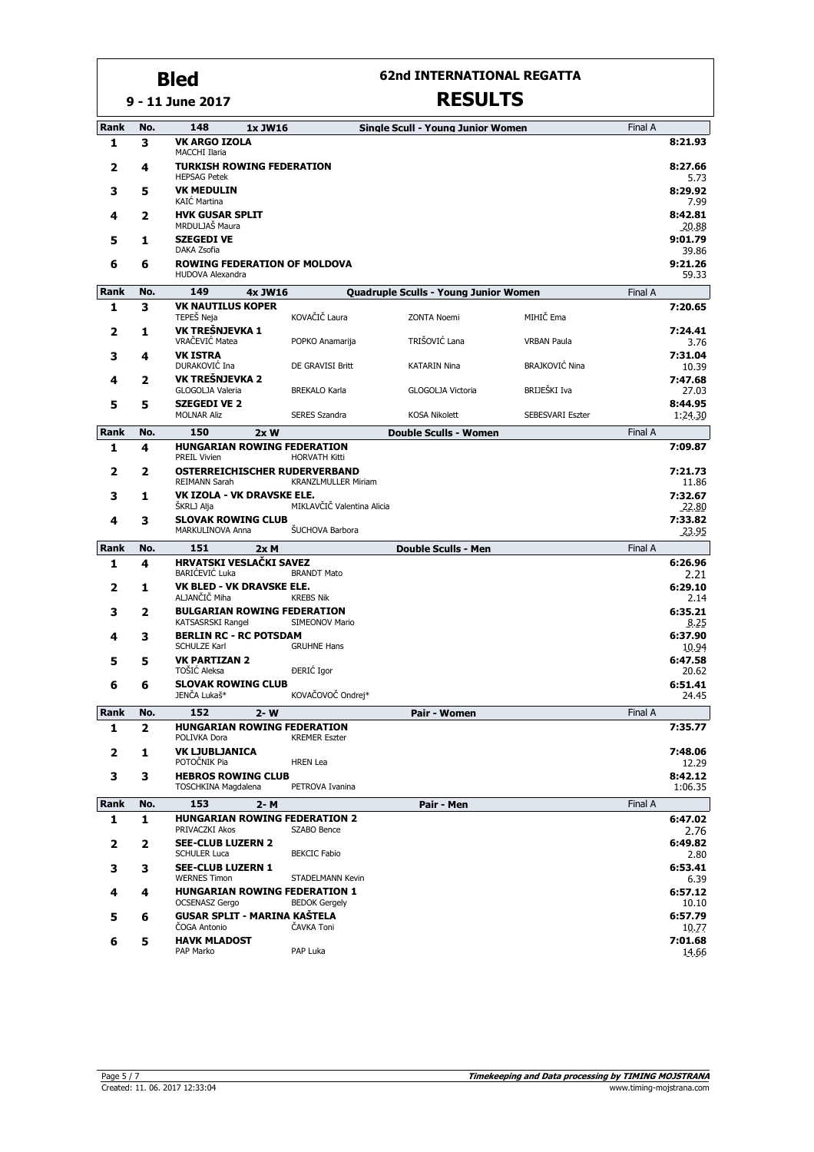**9 - 11 June 2017**

#### **62nd INTERNATIONAL REGATTA**

| <b>Rank</b> | No. | 148<br>1x JW16                                                 |                                                    | Single Scull - Young Junior Women     |                       | Final A |                         |
|-------------|-----|----------------------------------------------------------------|----------------------------------------------------|---------------------------------------|-----------------------|---------|-------------------------|
| 1           | 3   | <b>VK ARGO IZOLA</b><br><b>MACCHI Ilaria</b>                   |                                                    |                                       |                       |         | 8:21.93                 |
| 2           | 4   | <b>TURKISH ROWING FEDERATION</b><br><b>HEPSAG Petek</b>        |                                                    |                                       |                       |         | 8:27.66<br>5.73         |
| 3           | 5   | <b>VK MEDULIN</b><br><b>KAIĆ Martina</b>                       |                                                    |                                       |                       |         | 8:29.92<br>7.99         |
| 4           | 2   | <b>HVK GUSAR SPLIT</b><br>MRDULJAŠ Maura                       |                                                    |                                       |                       |         | 8:42.81<br>20.88        |
| 5           | 1   | <b>SZEGEDI VE</b><br>DAKA Zsofia                               |                                                    |                                       |                       |         | 9:01.79<br>39.86        |
| 6           | 6   | <b>ROWING FEDERATION OF MOLDOVA</b><br><b>HUDOVA Alexandra</b> |                                                    |                                       |                       |         | 9:21.26<br>59.33        |
| <b>Rank</b> | No. | 149<br>4x JW16                                                 |                                                    | Quadruple Sculls - Young Junior Women |                       | Final A |                         |
| 1           | 3   | <b>VK NAUTILUS KOPER</b>                                       |                                                    |                                       |                       |         | 7:20.65                 |
|             |     | TEPEŠ Neja                                                     | KOVAČIČ Laura                                      | <b>ZONTA Noemi</b>                    | MIHIČ Ema             |         |                         |
| 2           | 1   | VK TREŠNJEVKA 1<br>VRAČEVIĆ Matea                              | POPKO Anamarija                                    | TRIŠOVIĆ Lana                         | <b>VRBAN Paula</b>    |         | 7:24.41<br>3.76         |
| 3           | 4   | <b>VK ISTRA</b><br>DURAKOVIĆ Ina                               | DE GRAVISI Britt                                   | <b>KATARIN Nina</b>                   | <b>BRAJKOVIĆ Nina</b> |         | 7:31.04<br>10.39        |
| 4           | 2   | VK TREŠNJEVKA 2                                                |                                                    |                                       |                       |         | 7:47.68                 |
|             |     | GLOGOLJA Valeria                                               | <b>BREKALO Karla</b>                               | GLOGOLJA Victoria                     | BRIJEŠKI Iva          |         | 27.03                   |
| 5           | 5   | <b>SZEGEDI VE 2</b><br><b>MOLNAR Aliz</b>                      | <b>SERES Szandra</b>                               | <b>KOSA Nikolett</b>                  | SEBESVARI Eszter      |         | 8:44.95<br>1:24.30      |
| <b>Rank</b> | No. | 150<br>2xW                                                     |                                                    | <b>Double Sculls - Women</b>          |                       | Final A |                         |
| 1           | 4   | <b>HUNGARIAN ROWING FEDERATION</b>                             |                                                    |                                       |                       |         | 7:09.87                 |
| 2           | 2   | <b>PREIL Vivien</b><br>OSTERREICHISCHER RUDERVERBAND           | <b>HORVATH Kitti</b><br><b>KRANZLMULLER Miriam</b> |                                       |                       |         | 7:21.73                 |
| 3           | 1   | REIMANN Sarah<br><b>VK IZOLA - VK DRAVSKE ELE.</b>             | MIKLAVČIČ Valentina Alicia                         |                                       |                       |         | 11.86<br>7:32.67        |
| 4           | 3   | ŠKRLJ Alja<br><b>SLOVAK ROWING CLUB</b>                        |                                                    |                                       |                       |         | 22.80<br>7:33.82        |
|             |     | MARKULINOVA Anna                                               | ŠUCHOVA Barbora                                    |                                       |                       |         | 23.95                   |
| Rank        | No. | 151<br>2xM                                                     |                                                    | <b>Double Sculls - Men</b>            |                       | Final A |                         |
| 1           | 4   | HRVATSKI VESLAČKI SAVEZ<br><b>BARIĆEVIĆ Luka</b>               | <b>BRANDT Mato</b>                                 |                                       |                       |         | 6:26.96                 |
| 2           | 1   | VK BLED - VK DRAVSKE ELE.<br>ALJANČIČ Miha                     | <b>KREBS Nik</b>                                   |                                       |                       |         | 2.21<br>6:29.10<br>2.14 |
| 3           | 2   | <b>BULGARIAN ROWING FEDERATION</b><br>KATSASRSKI Rangel        | SIMEONOV Mario                                     |                                       |                       |         | 6:35.21<br>8.25         |
| 4           | 3   | <b>BERLIN RC - RC POTSDAM</b><br><b>SCHULZE Karl</b>           | <b>GRUHNE Hans</b>                                 |                                       |                       |         | 6:37.90<br>10.94        |
| 5           | 5   | <b>VK PARTIZAN 2</b>                                           |                                                    |                                       |                       |         | 6:47.58                 |
|             |     | TOŠIĆ Aleksa                                                   | ĐERIĆ Igor                                         |                                       |                       |         | 20.62                   |
| 6           | 6   | <b>SLOVAK ROWING CLUB</b><br>JENČA Lukaš*                      | KOVAČOVOČ Ondrej*                                  |                                       |                       |         | 6:51.41<br>24.45        |
| Rank        | No. | 152<br>$2 - W$                                                 |                                                    | Pair - Women                          |                       | Final A |                         |
| 1           | 2   | HUNGARIAN ROWING FEDERATION<br>POLIVKA Dora                    | <b>KREMER Eszter</b>                               |                                       |                       |         | 7:35.77                 |
| 2           | 1   | <b>VK LJUBLJANICA</b><br>POTOČNIK Pia                          | <b>HREN</b> Lea                                    |                                       |                       |         | 7:48.06<br>12.29        |
| 3           | 3   | <b>HEBROS ROWING CLUB</b><br>TOSCHKINA Magdalena               | PETROVA Ivanina                                    |                                       |                       |         | 8:42.12<br>1:06.35      |
| Rank        | No. | 153<br>2- M                                                    |                                                    | Pair - Men                            |                       | Final A |                         |
| 1           | 1   | <b>HUNGARIAN ROWING FEDERATION 2</b><br>PRIVACZKI Akos         | SZABO Bence                                        |                                       |                       |         | 6:47.02<br>2.76         |
| 2           | 2   | <b>SEE-CLUB LUZERN 2</b><br><b>SCHULER Luca</b>                | <b>BEKCIC Fabio</b>                                |                                       |                       |         | 6:49.82<br>2.80         |
| 3           | 3   | <b>SEE-CLUB LUZERN 1</b><br><b>WERNES Timon</b>                | STADELMANN Kevin                                   |                                       |                       |         | 6:53.41<br>6.39         |
| 4           | 4   | HUNGARIAN ROWING FEDERATION 1                                  |                                                    |                                       |                       |         | 6:57.12                 |
|             |     | <b>OCSENASZ Gergo</b>                                          | <b>BEDOK Gergely</b>                               |                                       |                       |         | 10.10                   |
| 5           | 6   | GUSAR SPLIT - MARINA KAŠTELA<br><b>COGA Antonio</b>            | ČAVKA Toni                                         |                                       |                       |         | 6:57.79<br>10.77        |
| 6           | 5   | <b>HAVK MLADOST</b><br>PAP Marko                               | PAP Luka                                           |                                       |                       |         | 7:01.68<br>14.66        |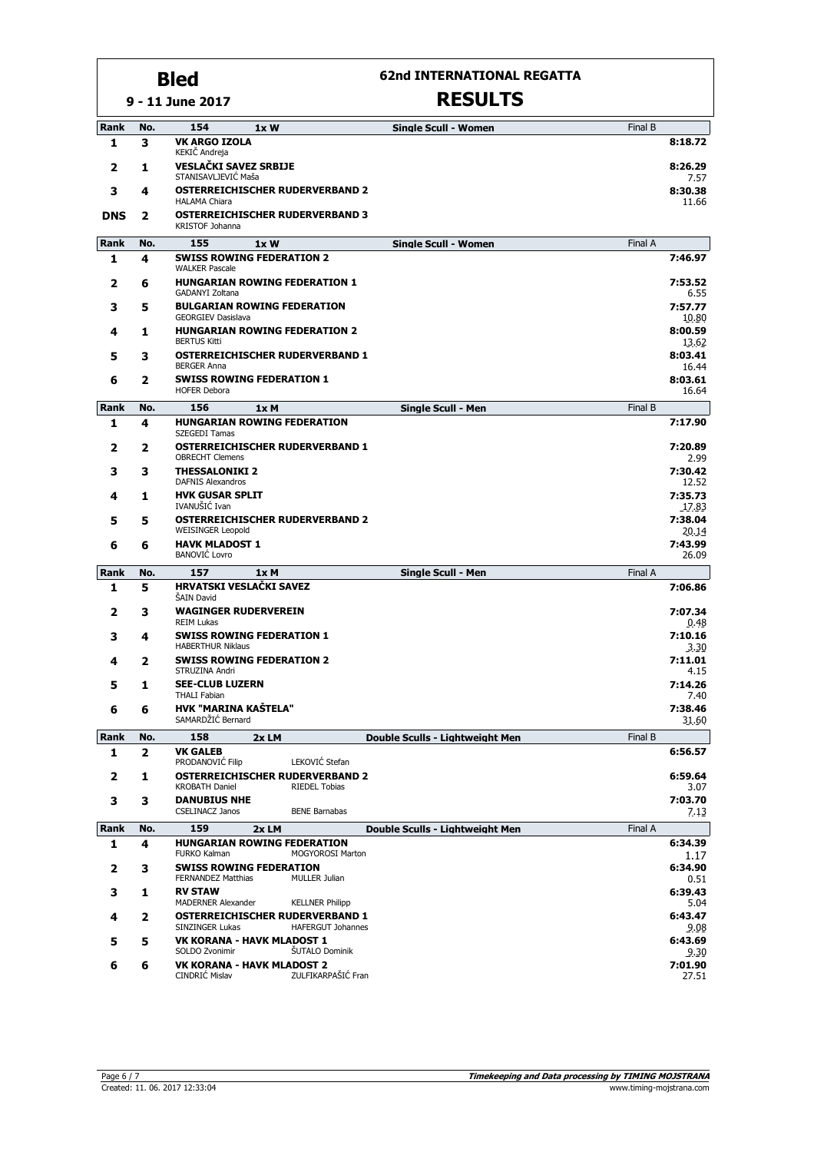#### **9 - 11 June 2017 Bled**

**62nd INTERNATIONAL REGATTA**

| Rank        | No. | 154<br>1xW                                                                               |                         | <b>Single Scull - Women</b>     | Final B |                           |
|-------------|-----|------------------------------------------------------------------------------------------|-------------------------|---------------------------------|---------|---------------------------|
| 1           | з   | <b>VK ARGO IZOLA</b>                                                                     |                         |                                 |         | 8:18.72                   |
| 2           | 1   | KEKIČ Andreja<br><b>VESLAČKI SAVEZ SRBIJE</b>                                            |                         |                                 |         | 8:26.29                   |
| 3           | 4   | STANISAVLJEVIĆ Maša<br><b>OSTERREICHISCHER RUDERVERBAND 2</b><br><b>HALAMA Chiara</b>    |                         |                                 |         | 7.57<br>8:30.38<br>11.66  |
| <b>DNS</b>  | 2   | <b>OSTERREICHISCHER RUDERVERBAND 3</b><br>KRISTOF Johanna                                |                         |                                 |         |                           |
| <b>Rank</b> | No. | 155<br>1xW                                                                               |                         | <b>Single Scull - Women</b>     | Final A |                           |
| 1           | 4   | <b>SWISS ROWING FEDERATION 2</b><br><b>WALKER Pascale</b>                                |                         |                                 |         | 7:46.97                   |
| 2           | 6   | <b>HUNGARIAN ROWING FEDERATION 1</b><br><b>GADANYI Zoltana</b>                           |                         |                                 |         | 7:53.52<br>6.55           |
| 3           | 5   | <b>BULGARIAN ROWING FEDERATION</b>                                                       |                         |                                 |         | 7:57.77                   |
| 4           | 1   | <b>GEORGIEV Dasislava</b><br><b>HUNGARIAN ROWING FEDERATION 2</b><br><b>BERTUS Kitti</b> |                         |                                 |         | 10.80<br>8:00.59<br>13.62 |
| 5           | З   | <b>OSTERREICHISCHER RUDERVERBAND 1</b>                                                   |                         |                                 |         | 8:03.41                   |
| 6           | 2   | <b>BERGER Anna</b><br><b>SWISS ROWING FEDERATION 1</b><br><b>HOFER Debora</b>            |                         |                                 |         | 16.44<br>8:03.61<br>16.64 |
| Rank        | No. | 156<br>1xM                                                                               |                         | <b>Single Scull - Men</b>       | Final B |                           |
| 1           | 4   | <b>HUNGARIAN ROWING FEDERATION</b>                                                       |                         |                                 |         | 7:17.90                   |
| 2           | 2   | SZEGEDI Tamas<br><b>OSTERREICHISCHER RUDERVERBAND 1</b>                                  |                         |                                 |         | 7:20.89                   |
| 3           | 3   | <b>OBRECHT Clemens</b><br><b>THESSALONIKI 2</b>                                          |                         |                                 |         | 2.99<br>7:30.42           |
| 4           | 1   | <b>DAFNIS Alexandros</b><br><b>HVK GUSAR SPLIT</b>                                       |                         |                                 |         | 12.52<br>7:35.73          |
| 5           | 5   | IVANUŠIĆ Ivan<br><b>OSTERREICHISCHER RUDERVERBAND 2</b>                                  |                         |                                 |         | 17.83<br>7:38.04          |
|             |     | <b>WEISINGER Leopold</b>                                                                 |                         |                                 |         | 20.14                     |
| 6           | 6   | <b>HAVK MLADOST 1</b><br><b>BANOVIĆ Lovro</b>                                            |                         |                                 |         | 7:43.99<br>26.09          |
| Rank        | No. | 157<br>1x M                                                                              |                         | Single Scull - Men              | Final A |                           |
| 1           | 5   | HRVATSKI VESLAČKI SAVEZ<br>ŠAIN David                                                    |                         |                                 |         | 7:06.86                   |
| 2           | 3   | <b>WAGINGER RUDERVEREIN</b><br><b>REIM Lukas</b>                                         |                         |                                 |         | 7:07.34<br>0.48           |
| 3           | 4   | <b>SWISS ROWING FEDERATION 1</b><br><b>HABERTHUR Niklaus</b>                             |                         |                                 |         | 7:10.16<br>3.30           |
| 4           | 2   | <b>SWISS ROWING FEDERATION 2</b><br>STRUZINA Andri                                       |                         |                                 |         | 7:11.01<br>4.15           |
| 5           | 1   | <b>SEE-CLUB LUZERN</b>                                                                   |                         |                                 |         | 7:14.26                   |
| 6           | 6   | <b>THALI Fabian</b><br><b>HVK "MARINA KAŠTELA"</b>                                       |                         |                                 |         | 7.40<br>7:38.46           |
|             |     | SAMARDŽIĆ Bernard                                                                        |                         |                                 |         | 31.60                     |
| Rank        | No. | 158<br>2x LM                                                                             |                         | Double Sculls - Lightweight Men | Final B |                           |
| 1           | 2   | <b>VK GALEB</b><br>PRODANOVIĆ Filip                                                      | LEKOVIĆ Stefan          |                                 |         | 6:56.57                   |
| 2           | 1   | <b>OSTERREICHISCHER RUDERVERBAND 2</b><br><b>KROBATH Daniel</b>                          | <b>RIEDEL Tobias</b>    |                                 |         | 6:59.64<br>3.07           |
| 3           | 3   | <b>DANUBIUS NHE</b><br><b>CSELINACZ Janos</b>                                            | <b>BENE Barnabas</b>    |                                 |         | 7:03.70<br>7.13           |
| Rank        | No. | 159<br>2xLM                                                                              |                         | Double Sculls - Lightweight Men | Final A |                           |
| 1           | 4   | <b>HUNGARIAN ROWING FEDERATION</b><br><b>FURKO Kalman</b>                                | <b>MOGYOROSI Marton</b> |                                 |         | 6:34.39<br>1.17           |
| 2           | з   | <b>SWISS ROWING FEDERATION</b><br><b>FERNANDEZ Matthias</b>                              | <b>MULLER Julian</b>    |                                 |         | 6:34.90<br>0.51           |
| 3           | 1   | <b>RV STAW</b><br>MADERNER Alexander                                                     | <b>KELLNER Philipp</b>  |                                 |         | 6:39.43<br>5.04           |
| 4           | 2   | <b>OSTERREICHISCHER RUDERVERBAND 1</b><br>SINZINGER Lukas                                | HAFERGUT Johannes       |                                 |         | 6:43.47<br>9.08           |
| 5           | 5   | <b>VK KORANA - HAVK MLADOST 1</b>                                                        |                         |                                 |         | 6:43.69                   |
| 6           | 6   | SOLDO Zvonimir<br><b>VK KORANA - HAVK MLADOST 2</b>                                      | <b>ŠUTALO Dominik</b>   |                                 |         | 9.30<br>7:01.90           |
|             |     | CINDRIĆ Mislav                                                                           | ZULFIKARPAŠIĆ Fran      |                                 |         | 27.51                     |